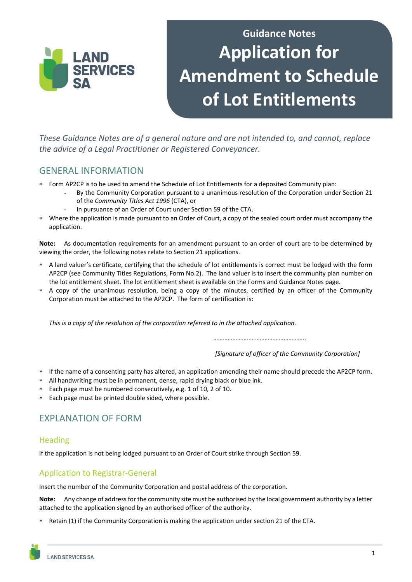

# **Guidance Notes Application for Amendment to Schedule of Lot Entitlements**

*These Guidance Notes are of a general nature and are not intended to, and cannot, replace the advice of a Legal Practitioner or Registered Conveyancer.* 

# GENERAL INFORMATION

- Form AP2CP is to be used to amend the Schedule of Lot Entitlements for a deposited Community plan:
	- By the Community Corporation pursuant to a unanimous resolution of the Corporation under Section 21 of the *Community Titles Act 1996* (CTA), or
	- In pursuance of an Order of Court under Section 59 of the CTA.
- Where the application is made pursuant to an Order of Court, a copy of the sealed court order must accompany the application.

**Note:** As documentation requirements for an amendment pursuant to an order of court are to be determined by viewing the order, the following notes relate to Section 21 applications.

- A land valuer's certificate, certifying that the schedule of lot entitlements is correct must be lodged with the form AP2CP (see Community Titles Regulations, Form No.2). The land valuer is to insert the community plan number on the lot entitlement sheet. The lot entitlement sheet is available on the Forms and Guidance Notes page.
- A copy of the unanimous resolution, being a copy of the minutes, certified by an officer of the Community Corporation must be attached to the AP2CP. The form of certification is:

*This is a copy of the resolution of the corporation referred to in the attached application.*

*…………………..……………………………..*

*[Signature of officer of the Community Corporation]*

- If the name of a consenting party has altered, an application amending their name should precede the AP2CP form.
- All handwriting must be in permanent, dense, rapid drying black or blue ink.
- Each page must be numbered consecutively, e.g. 1 of 10, 2 of 10.
- Each page must be printed double sided, where possible.

# EXPLANATION OF FORM

#### **Heading**

If the application is not being lodged pursuant to an Order of Court strike through Section 59.

### Application to Registrar-General

Insert the number of the Community Corporation and postal address of the corporation.

**Note:** Any change of address for the community site must be authorised by the local government authority by a letter attached to the application signed by an authorised officer of the authority.

Retain (1) if the Community Corporation is making the application under section 21 of the CTA.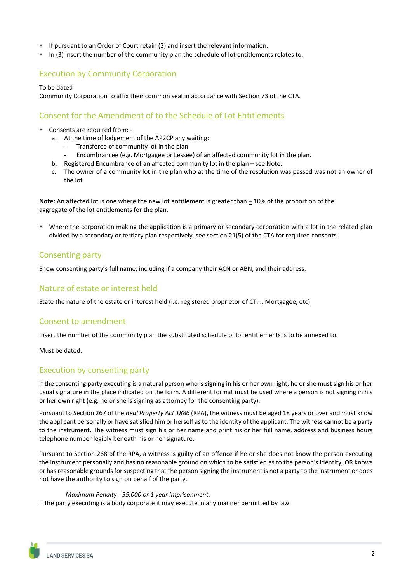- If pursuant to an Order of Court retain (2) and insert the relevant information.
- \* In (3) insert the number of the community plan the schedule of lot entitlements relates to.

#### Execution by Community Corporation

#### To be dated

Community Corporation to affix their common seal in accordance with Section 73 of the CTA.

#### Consent for the Amendment of to the Schedule of Lot Entitlements

- Consents are required from:
	- a. At the time of lodgement of the AP2CP any waiting:
		- **-** Transferee of community lot in the plan.
		- **-** Encumbrancee (e.g. Mortgagee or Lessee) of an affected community lot in the plan.
	- b. Registered Encumbrance of an affected community lot in the plan see Note.
	- c. The owner of a community lot in the plan who at the time of the resolution was passed was not an owner of the lot.

**Note:** An affected lot is one where the new lot entitlement is greater than + 10% of the proportion of the aggregate of the lot entitlements for the plan.

 Where the corporation making the application is a primary or secondary corporation with a lot in the related plan divided by a secondary or tertiary plan respectively, see section 21(5) of the CTA for required consents.

#### Consenting party

Show consenting party's full name, including if a company their ACN or ABN, and their address.

#### Nature of estate or interest held

State the nature of the estate or interest held (i.e. registered proprietor of CT..., Mortgagee, etc)

#### Consent to amendment

Insert the number of the community plan the substituted schedule of lot entitlements is to be annexed to.

Must be dated.

#### Execution by consenting party

If the consenting party executing is a natural person who is signing in his or her own right, he or she must sign his or her usual signature in the place indicated on the form. A different format must be used where a person is not signing in his or her own right (e.g. he or she is signing as attorney for the consenting party).

Pursuant to Section 267 of the *Real Property Act 1886* (RPA), the witness must be aged 18 years or over and must know the applicant personally or have satisfied him or herself as to the identity of the applicant. The witness cannot be a party to the instrument. The witness must sign his or her name and print his or her full name, address and business hours telephone number legibly beneath his or her signature.

Pursuant to Section 268 of the RPA, a witness is guilty of an offence if he or she does not know the person executing the instrument personally and has no reasonable ground on which to be satisfied as to the person's identity, OR knows or has reasonable grounds for suspecting that the person signing the instrument is not a party to the instrument or does not have the authority to sign on behalf of the party.

#### - *Maximum Penalty ‐ \$5,000 or 1 year imprisonment*.

If the party executing is a body corporate it may execute in any manner permitted by law.